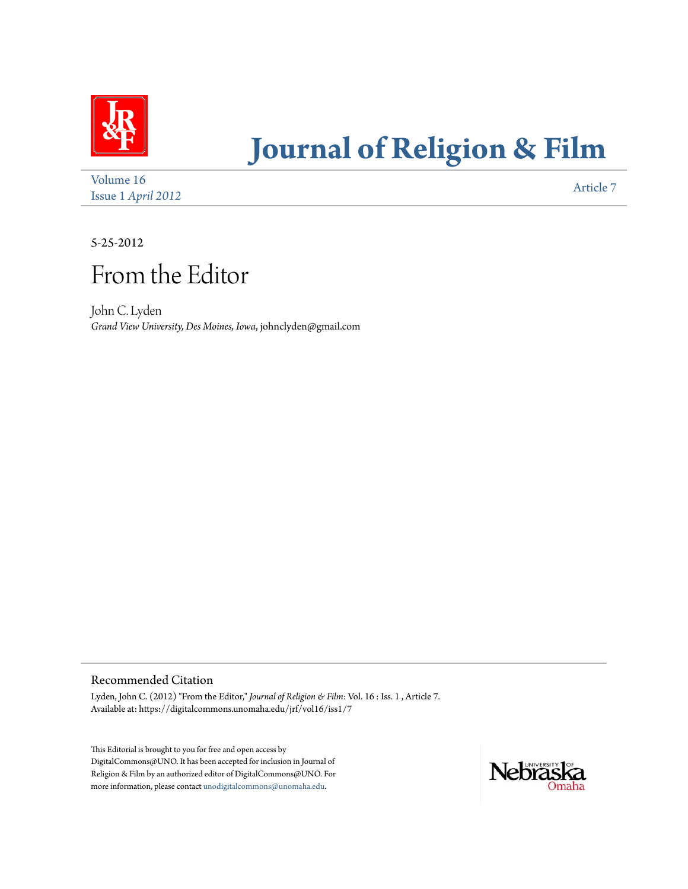

# **[Journal of Religion & Film](https://digitalcommons.unomaha.edu/jrf)**

[Volume 16](https://digitalcommons.unomaha.edu/jrf/vol16) Issue 1 *April* 2012 **[Article 7](https://digitalcommons.unomaha.edu/jrf/vol16/iss1/7)** 

5-25-2012

## From the Editor

John C. Lyden *Grand View University, Des Moines, Iowa*, johnclyden@gmail.com

Recommended Citation

Lyden, John C. (2012) "From the Editor," *Journal of Religion & Film*: Vol. 16 : Iss. 1 , Article 7. Available at: https://digitalcommons.unomaha.edu/jrf/vol16/iss1/7

This Editorial is brought to you for free and open access by DigitalCommons@UNO. It has been accepted for inclusion in Journal of Religion & Film by an authorized editor of DigitalCommons@UNO. For more information, please contact [unodigitalcommons@unomaha.edu](mailto:unodigitalcommons@unomaha.edu).

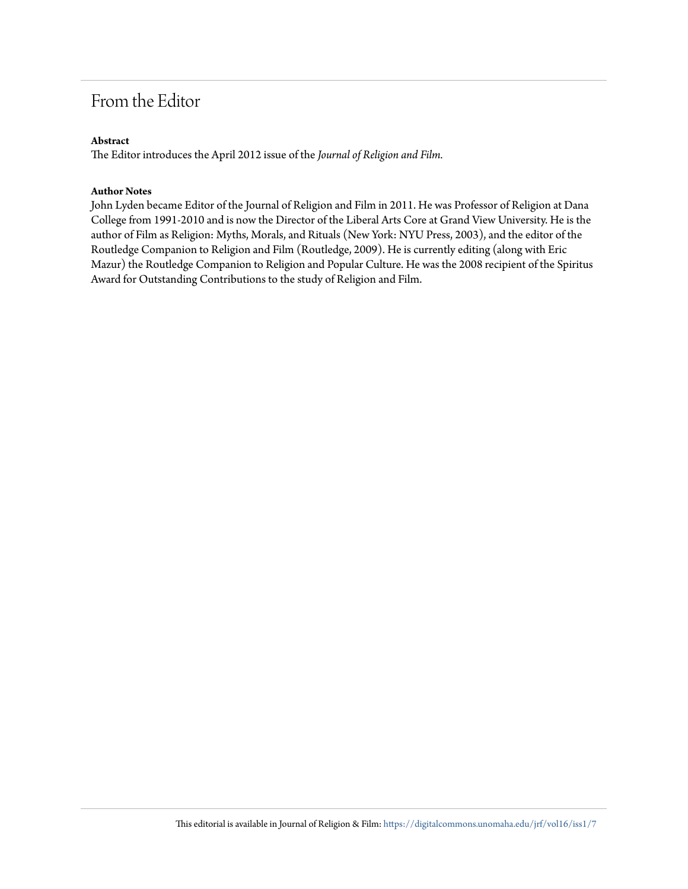## From the Editor

### **Abstract**

The Editor introduces the April 2012 issue of the *Journal of Religion and Film.*

#### **Author Notes**

John Lyden became Editor of the Journal of Religion and Film in 2011. He was Professor of Religion at Dana College from 1991-2010 and is now the Director of the Liberal Arts Core at Grand View University. He is the author of Film as Religion: Myths, Morals, and Rituals (New York: NYU Press, 2003), and the editor of the Routledge Companion to Religion and Film (Routledge, 2009). He is currently editing (along with Eric Mazur) the Routledge Companion to Religion and Popular Culture. He was the 2008 recipient of the Spiritus Award for Outstanding Contributions to the study of Religion and Film.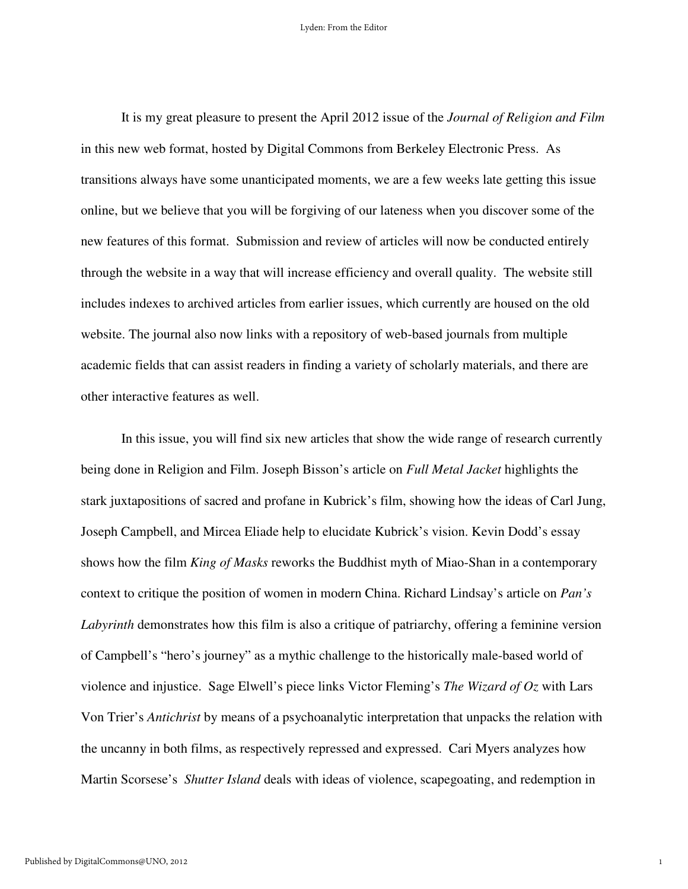It is my great pleasure to present the April 2012 issue of the *Journal of Religion and Film* in this new web format, hosted by Digital Commons from Berkeley Electronic Press. As transitions always have some unanticipated moments, we are a few weeks late getting this issue online, but we believe that you will be forgiving of our lateness when you discover some of the new features of this format. Submission and review of articles will now be conducted entirely through the website in a way that will increase efficiency and overall quality. The website still includes indexes to archived articles from earlier issues, which currently are housed on the old website. The journal also now links with a repository of web-based journals from multiple academic fields that can assist readers in finding a variety of scholarly materials, and there are other interactive features as well.

 In this issue, you will find six new articles that show the wide range of research currently being done in Religion and Film. Joseph Bisson's article on *Full Metal Jacket* highlights the stark juxtapositions of sacred and profane in Kubrick's film, showing how the ideas of Carl Jung, Joseph Campbell, and Mircea Eliade help to elucidate Kubrick's vision. Kevin Dodd's essay shows how the film *King of Masks* reworks the Buddhist myth of Miao-Shan in a contemporary context to critique the position of women in modern China. Richard Lindsay's article on *Pan's Labyrinth* demonstrates how this film is also a critique of patriarchy, offering a feminine version of Campbell's "hero's journey" as a mythic challenge to the historically male-based world of violence and injustice. Sage Elwell's piece links Victor Fleming's *The Wizard of Oz* with Lars Von Trier's *Antichrist* by means of a psychoanalytic interpretation that unpacks the relation with the uncanny in both films, as respectively repressed and expressed. Cari Myers analyzes how Martin Scorsese's *Shutter Island* deals with ideas of violence, scapegoating, and redemption in

1